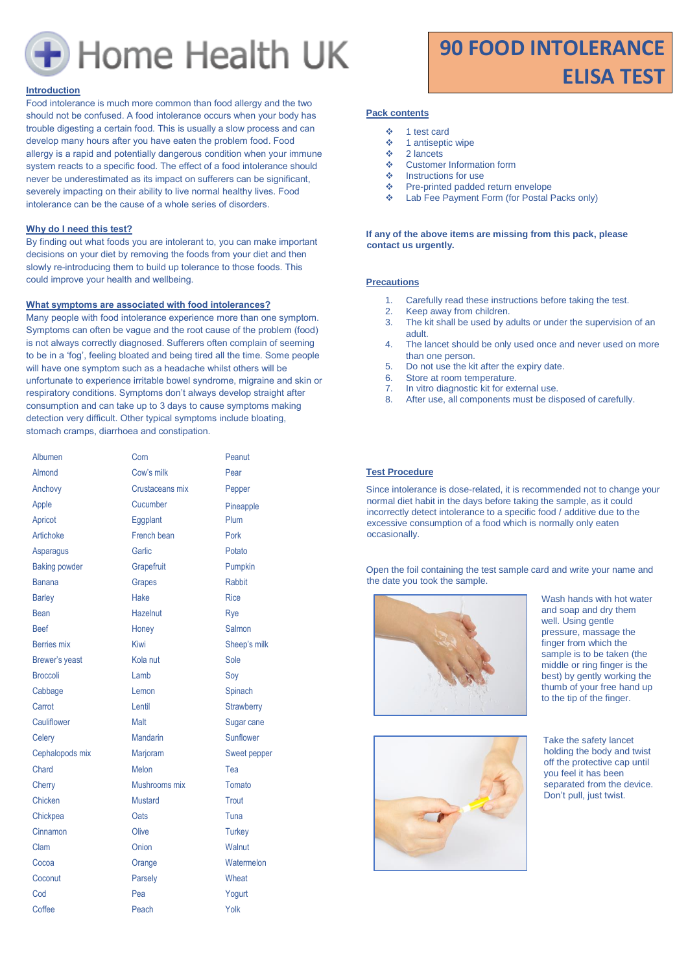

#### **Introduction**

Food intolerance is much more common than food allergy and the two should not be confused. A food intolerance occurs when your body has trouble digesting a certain food. This is usually a slow process and can develop many hours after you have eaten the problem food. Food allergy is a rapid and potentially dangerous condition when your immune system reacts to a specific food. The effect of a food intolerance should never be underestimated as its impact on sufferers can be significant, severely impacting on their ability to live normal healthy lives. Food intolerance can be the cause of a whole series of disorders.

#### **Why do I need this test?**

By finding out what foods you are intolerant to, you can make important decisions on your diet by removing the foods from your diet and then slowly re-introducing them to build up tolerance to those foods. This could improve your health and wellbeing.

#### **What symptoms are associated with food intolerances?**

Many people with food intolerance experience more than one symptom. Symptoms can often be vague and the root cause of the problem (food) is not always correctly diagnosed. Sufferers often complain of seeming to be in a 'fog', feeling bloated and being tired all the time. Some people will have one symptom such as a headache whilst others will be unfortunate to experience irritable bowel syndrome, migraine and skin or respiratory conditions. Symptoms don't always develop straight after consumption and can take up to 3 days to cause symptoms making detection very difficult. Other typical symptoms include bloating, stomach cramps, diarrhoea and constipation.

| Albumen              | Com             | Peanut            |
|----------------------|-----------------|-------------------|
| Almond               | Cow's milk      | Pear              |
| Anchovy              | Crustaceans mix | Pepper            |
| Apple                | Cucumber        | Pineapple         |
| Apricot              | Eggplant        | Plum              |
| Artichoke            | French bean     | Pork              |
| Asparagus            | Garlic          | Potato            |
| <b>Baking powder</b> | Grapefruit      | Pumpkin           |
| <b>Banana</b>        | <b>Grapes</b>   | <b>Rabbit</b>     |
| <b>Barley</b>        | <b>Hake</b>     | <b>Rice</b>       |
| Bean                 | <b>Hazelnut</b> | Rye               |
| <b>Beef</b>          | Honey           | Salmon            |
| <b>Berries</b> mix   | Kiwi            | Sheep's milk      |
| Brewer's yeast       | Kola nut        | Sole              |
| <b>Broccoli</b>      | Lamb            | Soy               |
| Cabbage              | Lemon           | Spinach           |
| Carrot               | Lentil          | <b>Strawberry</b> |
| Cauliflower          | Malt            | Sugar cane        |
| Celery               | <b>Mandarin</b> | Sunflower         |
| Cephalopods mix      | Marjoram        | Sweet pepper      |
| Chard                | Melon           | Tea               |
| Cherry               | Mushrooms mix   | Tomato            |
| Chicken              | <b>Mustard</b>  | Trout             |
| Chickpea             | Oats            | Tuna              |
| Cinnamon             | Olive           | <b>Turkey</b>     |
| Clam                 | Onion           | Walnut            |
| Cocoa                | Orange          | Watermelon        |
| Coconut              | Parsely         | Wheat             |
| Cod                  | Pea             | Yogurt            |
| Coffee               | Peach           | Yolk              |

# **90 FOOD INTOLERANCE ELISA TEST**

#### **Pack contents**

- ❖ 1 test card
- ❖ 1 antiseptic wipe
- ❖ 2 lancets
- ❖ Customer Information form<br>❖ Instructions for use
- Instructions for use
- ❖ Pre-printed padded return envelope
- ❖ Lab Fee Payment Form (for Postal Packs only)

#### **If any of the above items are missing from this pack, please contact us urgently.**

# **Precautions**

- 1. Carefully read these instructions before taking the test.
- 2. Keep away from children.
- 3. The kit shall be used by adults or under the supervision of an adult.
- 4. The lancet should be only used once and never used on more than one person.
- 5. Do not use the kit after the expiry date.
- 6. Store at room temperature.
- 7. In vitro diagnostic kit for external use. 8. After use, all components must be disposed of carefully.
- 

# **Test Procedure**

Since intolerance is dose-related, it is recommended not to change your normal diet habit in the days before taking the sample, as it could incorrectly detect intolerance to a specific food / additive due to the excessive consumption of a food which is normally only eaten occasionally.

Open the foil containing the test sample card and write your name and the date you took the sample.



Wash hands with hot water and soap and dry them well. Using gentle pressure, massage the finger from which the sample is to be taken (the middle or ring finger is the best) by gently working the thumb of your free hand up to the tip of the finger.



Take the safety lancet holding the body and twist off the protective cap until you feel it has been separated from the device. Don't pull, just twist.